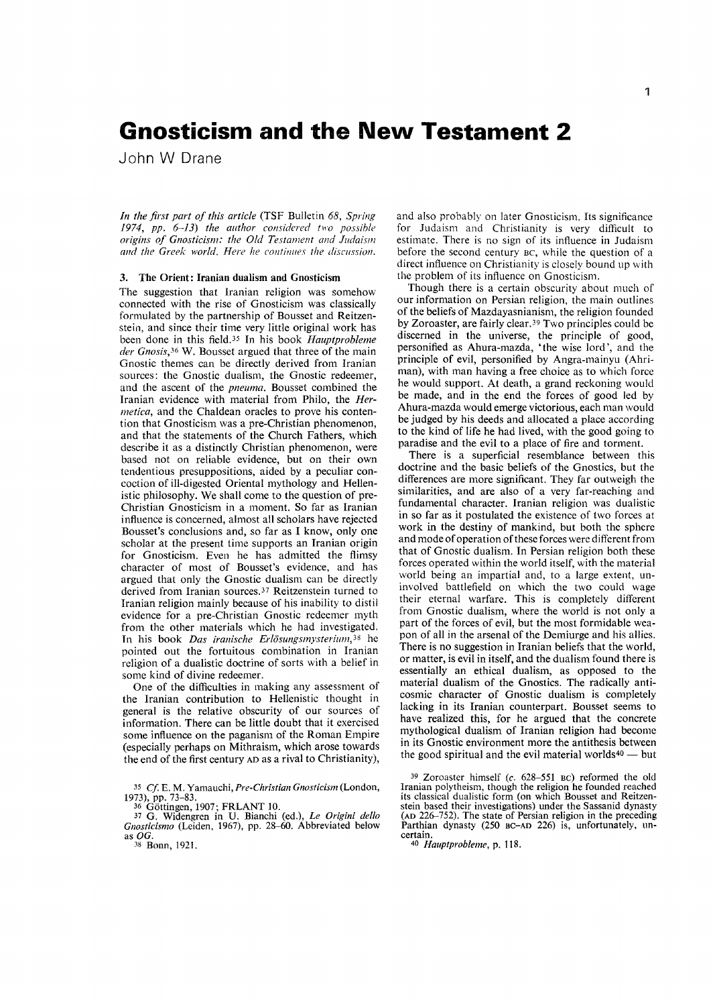## **Gnosticism and the New Testament 2**

John W Drane

*In the first part of this article* (TSF Bulletin 68, *Spring*  1974, pp. 6-13) the author considered two possible origins of Gnosticism: the Old Testament and Judaism and the Greek world. Here he continues the discussion.

## 3. The Orient: Iranian dualism and Gnosticism

The suggestion that Iranian religion was somehow connected with the rise of Gnosticism was classically formulated by the partnership of Bousset and Reitzenstein, and since their time very little original work has been done in this field. 35 In his book *Hauptprobleme der Gnosis,36* W. Bousset argued that three of the main Gnostic themes can be directly derived from Iranian sources: the Gnostic dualism, the Gnostic redeemer, and the ascent of the *pneuma.* Bousset combined the Iranian evidence with material from Philo, the *Hermetica,* and the Chaldean oracles to prove his contention that Gnosticism was a pre-Christian phenomenon, and that the statements of the Church Fathers, which describe it as a distinctly Christian phenomenon, were based not on reliable evidence, but on their own tendentious presuppositions, aided by a peculiar concoction of ill-digested Oriental mythology and Hellenistic philosophy. We shall come to the question of pre-Christian Gnosticism in a moment. So far as Iranian influence is concerned, almost all scholars have rejected Bousset's conclusions and, so far as I know, only one scholar at the present time supports an Iranian origin for Gnosticism. Even he has admitted the flimsy character of most of Bousset's evidence, and has argued that only the Gnostic dualism can be directly derived from Iranian sources.<sup>37</sup> Reitzenstein turned to Iranian religion mainly because of his inability to distil evidence for a pre-Christian Gnostic redeemer myth from the other materials which he had investigated. In his book *Das iranische Erlösungsmysterium*,<sup>38</sup> he pointed out the fortuitous combination in Iranian religion of a dualistic doctrine of sorts with a belief in some kind of divine redeemer.

One of the difficulties in making any assessment of the Iranian contribution to Hellenistic thought in general is the relative obscurity of our sources of information. There can be little doubt that it exercised some influence on the paganism of the Roman Empire (especially perhaps on Mithraism, which arose towards the end of the first century AD as a rival to Christianity),

*35 Cl* E. M. *Yamauchi,Pre-Christian Gnosticism* (London, 1973), pp. 73-83. 36 G6ttingen, 1907; FRLANT 10. 37 G. Widengren in U. Bianchi (ed.), *Le Origini dello* 

*Gnosticismo* (Leiden, 1967), pp. 28~60. Abbreviated below as *OG.*  as  $OG.$  38 Bonn, 1921.

and also probably on later Gnosticism. Its significance for Judaism and Christianity is very difficult to estimate. There is no sign of its influence in Judaism before the second century BC, while the question of a direct influence on Christianity is closely bound up with the problem of its influence on Gnosticism.

Though there is a certain obscurity about much of our information on Persian religion, the main outlines of the beliefs of Mazdayasnianism, the religion founded by Zoroaster, are fairly clear. 39 Two principles could be discerned in the universe, the principle of good, persomfied as Ahura-mazda, • the wise lord', and the principle of evil, personified by Angra-mainyu (Ahriman), with man having a free choice as to which force he would support. At death, a grand reckoning would be made, and in the end the forces of good led by Ahura-mazda would emerge victorious, each man would be judged by his deeds and allocated a place according to the kind of life he had lived, with the good going to paradise and the evil to a place of fire and torment.

There is a superficial resemblance between this doctrine and the basic beliefs of the Gnostics, but the differences are more significant. They far outweigh the similarities, and are also of a very far-reaching and fundamental character. Iranian religion was dualistic in so far as it postulated the existence of two forces at work in the destiny of mankind, but both the sphere and mode of operation of these forces were different from that of Gnostic dualism. In Persian religion both these forces operated within the world itself, with the material world being an impartial and, to a large extent, uninvolved battlefield on which the two could wage their eternal warfare. This is completely different from Gnostic dualism, where the world is not only a part of the forces of evil, but the most formidable weapon of all in the arsenal of the Demiurge and his allies. There is no suggestion in Iranian beliefs that the world or matter, is evil in itself, and the dualism found there is essentially an ethical dualism, as opposed to the material dualism of the Gnostics. The radically anticosmic character of Gnostic dualism is completely lacking in its Iranian counterpart. Bousset seems to have realized this, for he argued that the concrete mythological dualism of Iranian religion had become in its Gnostic environment more the antithesis between the good spiritual and the evil material worlds $40 -$  but

 $39$  Zoroaster himself (c. 628-551 BC) reformed the old Iranian polytheism, though the religion he founded reached its classical dualistic form (on which Bousset and Reitzenstein based their investigations) under the Sassanid dynasty (AD 2?6-752). The state of Persian religion in the preceding Part~Ian dynasty (250 BC~AD 226) is, unfortunately, un- certam. *40 Hauptprobleme,* p. 118.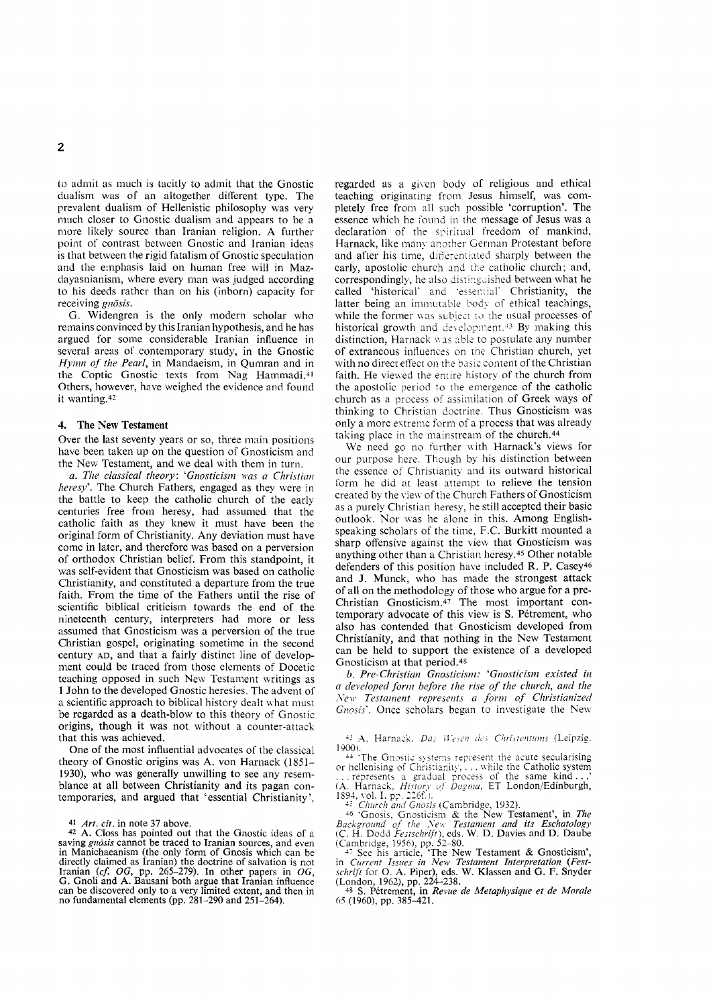to admit as much is tacitly to admit that the Gnostic dualism was of an altogether different type. The prevalent dualism of Hellenistic philosophy was very much closer to Gnostic dualism and appears to be a more likely source than Iranian religion. A further point of contrast between Gnostic and Iranian ideas is that between the rigid fatalism of Gnostic speculation and the emphasis laid on human free will in Mazdayasnianism, where every man was judged according to his deeds rather than on his (inborn) capacity for receiving *gnosis.* 

G. Widengren is the only modern scholar who remains convinced by this Iranian hypothesis, and he has argued for some considerable Iranian influence in several areas of contemporary study, in the Gnostic *Hymn of the Pearl,* in Mandaeism, in Qumran and in the Coptic Gnostic texts from Nag Hammadi.<sup>41</sup> Others, however, have weighed the evidence and found it wanting. <sup>42</sup>

## 4. The New Testament

Over the last seventy years or so, three main positions have been taken up on the question of Gnosticism and the New Testament, and we deal with them in turn.

*a. The classical theory: 'Gnosticism was a Christian heresy'.* The Church Fathers, engaged as they were in the battle to keep the catholic church of the early centuries free from heresy, had assumed that the catholic faith as they knew it must have been the original form of Christianity. Any deviation must have come in later, and therefore was based on a perversion of orthodox Christian belief. From this standpoint, it was self-evident that Gnosticism was based on catholic Christianity, and constituted a departure from the true faith. From the time of the Fathers until the rise of scientific biblical criticism towards the end of the nineteenth century, interpreters had more or less assumed that Gnosticism was a perversion of the true Christian gospel, originating sometime in the second century AD, and that a fairly distinct line of development could be traced from those elements of Docetic teaching opposed in such New Testament writings as 1 John to the developed Gnostic heresies. The advent of a scientific approach to biblical history dealt what must be regarded as a death-blow to this theory of Gnostic origins, though it was not without a counter-attack that this was achieved.

One of the most influential advocates of the classical theory of Gnostic origins was A. von Harnack (1851- 1930), who was generally unwilling to see any resemblance at all between Christianity and its pagan contemporaries, and argued that 'essential Christianity',

41 Art. cit. in note 37 above.<br>42 A. Closs has pointed out that the Gnostic ideas of a 42 A. Closs has pointed out that the Gnostic ideas of a saving *gnosis* cannot be traced to Iranian sources, and even in Manichaeanism (the only form of Gnosis which can be directly claimed as Iranian) the doctrine of salvation is not Iranian *(cf. OG*, pp. 265–279). In other papers in *OG*, can be discovered only to a very limited extent, and then in no fundamental elements (pp. 281–290 and 251–264).

regarded as a given body of religious and ethical teaching originating from Jesus himself, was completely free from all such possible 'corruption'. The essence which he found in the message of Jesus was a declaration of the spiritual freedom of mankind. Harnack, like many another German Protestant before and after his time, differentiated sharply between the early, apostolic church and the catholic church; and, correspondingly, he also distinguished between what he called 'historical' and 'essential' Christianity, the latter being an immutable body of ethical teachings, while the former was subject to the usual processes of historical growth and development.<sup>43</sup> By making this distinction, Harnack was able to postulate any number of extraneous influences on the Christian church, yet with no direct effect on the basic content of the Christian faith. He viewed the entire history of the church from the apostolic period to the emergence of the catholic church as a process of assimilation of Greek ways of thinking to Christian doctrine. Thus Gnosticism was only a more extreme form of a process that was already taking place in the mainstream of the church. <sup>44</sup>

We need go no further with Harnack's views for our purpose here. Though by his distinction between the essence of Christianity and its outward historical form he did at least attempt to relieve the tension created by the yiew of the Church Fathers of Gnosticism as a purely Christian heresy, he still accepted their basic outlook. Nor was he alone in this. Among Englishspeaking scholars of the time, F.C. Burkitt mounted a sharp offensive against the view that Gnosticism was anything other than a Christian heresy.45 Other notable defenders of this position have included R. P. Casey46 and J. Munck, who has made the strongest attack of all on the methodology of those who argue for a pre-Christian Gnosticism. 47 The most important contemporary advocate of this view is S. Petrement, who also has contended that Gnosticism developed from Christianity, and that nothing in the New Testament can be held to support the existence of a developed Gnosticism at that period.<sup>48</sup>

**b. Pre-Christian Gnosticism: 'Gnosticism existed in**  $a$  developed form before the rise of the church, and the *Xew Testament represents a form of Christianized Gnosis'.* Once scholars began to investigate the New

<sup>43</sup> A. Harnack. *Das Wesen des Christentums* (Leipzig.

1900).<br><sup>44</sup> The Gnostic systems represent the acute secularising<br>while the Catholic system <sup>44</sup> The Gnostic systems represent the acute secularising<br>or hellenising of Christianity, ... while the Catholic system<br>... represents a gradual process of the same kind...'<br>(A. Harnack, *History of Dogma*, ET London/Edin 1894, vol. I. pp. 226f.).

<sup>45</sup> Church and Gnosis (Cambridge, 1932).<br><sup>46</sup> 'Gnosis, Gnosticism & the New Testament', in *The* Background of the New Testament and its Eschatology (C. H. Dodd *Festschrift*), eds. W. D. Davies and D. Daube

(Cambridge, 1956), pp. 52-80. 47 See his article, 'The New Testament & Gnosticism', in *Current Issues in New Testament Interpretation (Festschrift* for O. A. Piper), eds. W. Klassen and G. F. Snyder (London, 1962), pp. 224–238.<br>
<sup>48</sup> S. Pétrement, in *Revue de Metaphysique et de Morale* <sup>65</sup> (1960), pp. 385–421.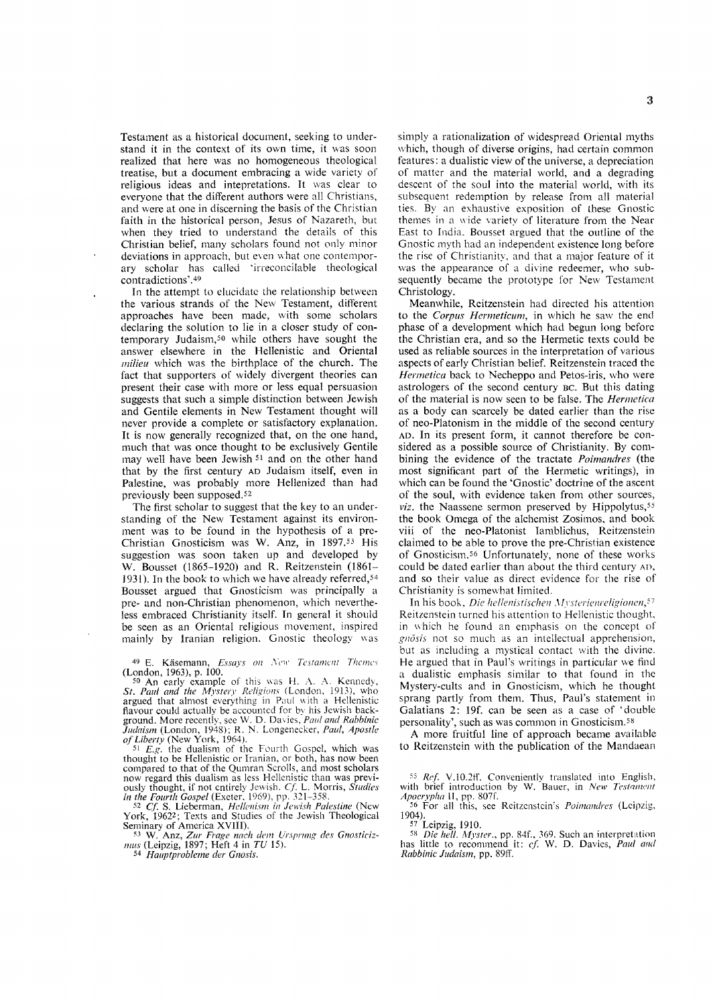Testament as a historical document, seeking to understand it in the context of its own time, it was soon realized that here was no homogeneous theological treatise, but a document embracing a wide variety of religious ideas and intepretations. It was clear to everyone that the different authors were all Christians, and were at one in discerning the basis of the Christian faith in the historical person, Jesus of Nazareth, but when they tried to understand the details of this Christian belief, many scholars found not only minor deviations in approach, but even what one contemporary scholar has called 'irreconcilable theological contradictions'.49

In the attempt to elucidate the relationship between the various strands of the New Testament, different approaches have been made, with some scholars declaring the solution to lie in a closer study of contemporary Judaism,50 while others have sought the answer elsewhere in the HeIIenistic and Oriental *milieu* which was the birthplace of the church. The fact that supporters of widely divergent theories can present their case with more or less equal persuasion suggests that such a simple distinction between Jewish and Gentile elements in New Testament thought will never provide a complete or satisfactory explanation. It is now generally recognized that, on the one hand, much that was once thought to be exclusively Gentile may weIl have been Jewish 51 and on the other hand that by the first century AD Judaism itself, even in Palestine, was probably more Hellenized than had previously been supposed. 52

The first scholar to suggest that the key to an understanding of the New Testament against its environment was to be found in the hypothesis of a pre-Christian Gnosticism was W. Anz, in 1897.53 His suggestion was soon taken up and developed by W. Bousset (1865-1920) and R. Reitzenstein (1861- 1931). In the book to which we have already referred,54 Bousset argued that Gnosticism was principaIly a pre- and non-Christian phenomenon, which nevertheless embraced Christianity itself. In general it should be seen as an Oriental religious movement, inspired mainly by Iranian religion. Gnostic theology was

49 E. Käsemann, *Essays on New Testament Themes* (London, 1963), p. 100.

 $50$  An early example of this was H. A. A. Kennedy, *St. Paul and the Mystery Religions (London, 1913), who* argued that almost everything in Paul with a Hellenistic flavour could actually be accounted for by his Jewish background. More recently, see W. D. Davies, *Paul and Rabbinic Judaism* (London, 1948); R. N. Longenecker, *Paul, Apostle of Liberty* (New York, 1964).

F.g. *the dualism of the Fourth Gospel, which was thought to be Hellenistic or Iranian, or both, has now been*<br>compared to that of the Qumran Scrolls, and most scholars compared to that of the Qumran Scrolls, and most scholars now regard this dualism as less Hellenistic than was previ- ously thought, if not entirely Jewish. *Cf,* L. Morris, *Studies in the Fourth Gospel* (Exeter. 1969), pp. 321-358.

52 *Cf.* S. Lieberman, *Hellenism in Jewish Palestine* (New York, 1962<sup>2</sup>; Texts and Studies of the Jewish Theological Seminary of America XVIII).<br>53 W. Anz, *Zur Frage nach dem Ursprung des Gnosticiz-*

mus (Leipzig, 1897; Heft 4 in  $TU$  15).

*54 Hallptprobleme del' Gnosis.* 

simply a rationalization of widespread Oriental myths which, though of diverse origins, had certain common features: a dualistic view of the universe, a depreciation of matter and the material world, and a degrading descent of the soul into the material world, with its subsequent redemption by release from all material ties. By an exhaustive exposition of these Gnostic themes in a wide variety of literature from the Near East to India. Bousset argued that the outline of the Gnostic myth had an independent existence long before the rise of Christianity, and that a major feature of it was the appearance of a divine redeemer, who subsequently became the prototype for New Testament Christology.

Meanwhile, Reitzenstein had directed his attention to the *Corpus Hermeticum*, in which he saw the end phase of a development which had begun long before the Christian era, and so the Hermetic texts could be used as reliable sources in the interpretation of various aspects of early Christian belief. Reitzenstein traced the *Hermetica* back to Necheppo and Petos-iris, who were astrologers of the second century BC. But this dating of the material is now seen to be false. The *Hermetica*  as a body can scarcely be dated earlier than the rise of neo-Platonism in the middle of the second century AD. In its present form, it cannot therefore be considered as a possible source of Christianity. By combining the evidence of the tractate *Poimandres* (the most significant part of the Hermetic writings), in which can be found the 'Gnostic' doctrine of the ascent of the soul, with evidence taken from other sources, *viz.* the Naassene sermon preserved by Hippolytus,<sup>55</sup> the book Omega of the alchemist Zosimos, and book viii of the neo-Platonist Iamblichus, Reitzenstein claimed to be able to prove the pre-Christian existence of Gnosticism. 56 Unfortunately, none of these works could be dated earlier than about the third century AD, and so their value as direct evidence for the rise of Christianity is somewhat limited.

In his book. *Die hellenistischen Mysterienreligionen*,<sup>57</sup> Reitzenstein turned his attention to Hellenistic thought, in which he found an emphasis on the concept of *gnosis* not so much as an intellectual apprehension, but as including a mystical contact with the divine. He argued that in Paul's writings in particular we find a dualistic emphasis similar to that found in the Mystery-cults and in Gnosticism, which he thought sprang partly from them. Thus, Paul's statement in Galatians 2: 19f. can be seen as a case of 'double personality', such as was common in Gnosticism. 58

A more fruitful line of approach became available to Reitzenstein with the publication of the Mandaean

<sup>55</sup> Ref. V.10.2ff. Conveniently translated into English, with brief introduction by W. Bauer, in *New Testament Apocrypha* 11, pp. 807f.

<sup>56</sup> For all this, see Reitzenstein's *Poimandres* (Leipzig, 1904).

57 Leipzig, 1910.

<sup>58</sup> *Die hell. Myster.*, pp. 84f., 369. Such an interpretation has little to recommend it: *cf.* W. D. Davies, *Paul and Rabbinic Judaism,* pp. 89ff.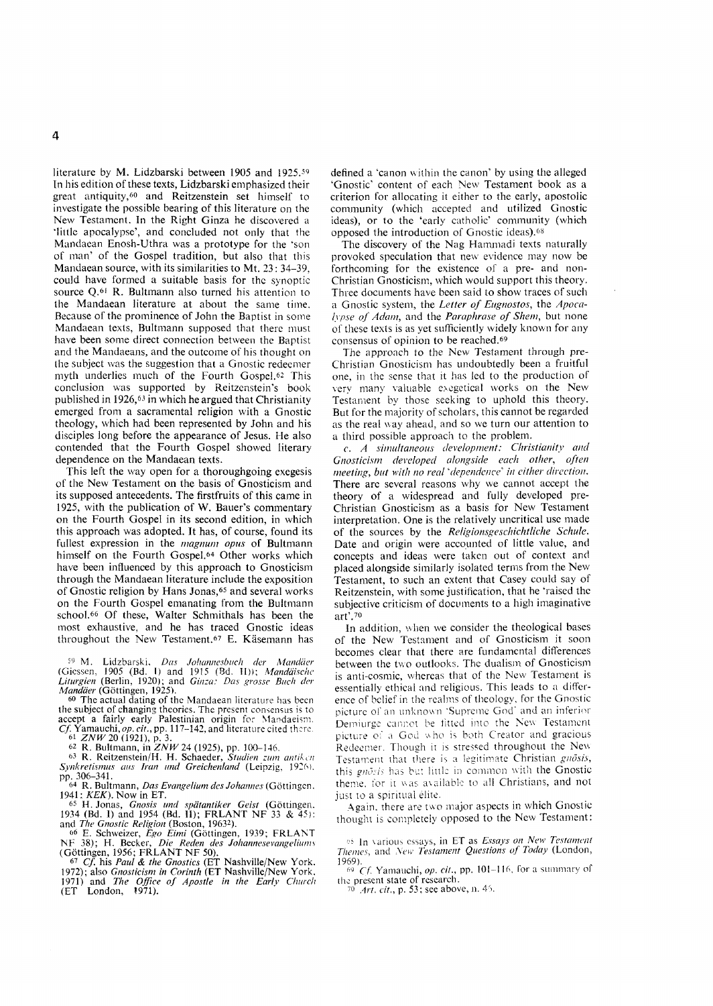literature by M. Lidzbarski between 1905 and 1925.<sup>59</sup> In his edition of these texts, Lidzbarski emphasized their great antiquity,60 and Reitzenstein set himself to investigate the possible bearing of this literature on the New Testament. In the Right Ginza he discovered a 'little apocalypse', and concluded not only that the Mandaean Enosh-Uthra was a prototype for the 'son of man' of the Gospel tradition, but also that this Mandaean source, with its similarities to Mt. 23: 34-39, could have formed a suitable basis for the synoptic source Q.61 R. Bultmann also turned his attention to the Mandaean literature at about the same time. Because of the prominence of John the Baptist in some Mandaean texts, Bultmann supposed that there must have been some direct connection between the Baptist and the Mandaeans, and the outcome of his thought on the subject was the suggestion that a Gnostic redeemer myth underlies much of the Fourth Gospel.<sup>62</sup> This conclusion was supported by Reitzenstein's book published in 1926,63 in which he argued that Christianity emerged from a sacramental religion with a Gnostic theology, which had been represented by John and his disciples long before the appearance of Jesus. He also contended that the Fourth Gospel showed literary dependence on the Mandaean texts.

This left the way open for a thoroughgoing exegesis of the New Testament on the basis of Gnosticism and its supposed antecedents. The firstfruits of this came in 1925, with the publication of W. Bauer's commentary on the Fourth Gospel in its second edition, in which this approach was adopted. It has, of course, found its fullest expression in the *magnum opus* of Bultmann himself on the Fourth Gospel.<sup>64</sup> Other works which have been influenced by this approach to Gnosticism through the Mandaean literature include the exposition of Gnostic religion by Hans Jonas,<sup>65</sup> and several works on the Fourth Gospel emanating from the Bultmann school.<sup>66</sup> Of these, Walter Schmithals has been the most exhaustive, and he has traced Gnostic ideas throughout the New Testament.<sup>67</sup> E. Käsemann has

59 M. Lidzbarski, *Das Johannesbuch der Mandäer*<br>(Gicssen, 1905 (Bd. I) and 1915 (Bd. TI)); *Mandäische Liturgien* (Berlin, 1920); and *Ginza: Das grosse Buch der Mandiier* (Gottingen, 1925).

60 The actual dating of the Mandaean literature has been the subject of changing theories. The present consensus is to accept a fairly early Palestinian origin for Mandaeism, *Cf.* Yamauchi, *op. cit.*, pp. 117–142, and literature cited there.  $61$  *ZNW* 20 (1921), p. 3.

62 R. Bultmann, in *ZNW* 24 (1925), pp. 100-146.

63 R. Reitzenstein/H. H. Schaeder, Studien zum antiken Synkretismus aus Iran und Greichenland (Leipzig, 1926). pp. 306–341.<br><sup>64</sup> R. Bultmann, *Das Evangelium des Johannes* (Göttingen.

1941: KEK). Now in ET.

65 H. Jonas, *Gnosis und spiitantiker Geist* (Gottingen. 1934 (Bd. I) and 1954 (Bd. II); FRLANT NF 33 & 45): and *The Gnostic Religion* (Boston, 19632).

<sup>66</sup> E. Schweizer, *Ego Eimi* (Göttingen, 1939; FRLANT NF 38); H. Becker, *Die Reden des Johannesevangeliums*<br>(Göttingen, 1956; FRLANT NF 50).<br><sup>67</sup> Cf. his *Paul & the Gnostics* (ET Nashville/New York.

1972); also *Gnosticism in Corinth* (ET NashviIle/New York. 1971) and *The Office of Apostle in the Early Church* (ET London, 1971).

defined a 'canon within the canon' by using the alleged 'Gnostic' content of each New Testament book as a criterion for allocating it either to the early, apostolic community (which accepted and utilized Gnostic ideas), or to the 'early catholic' community (which opposed the introduction of Gnostic ideas).68

The discovery of the Nag Hammadi texts naturally provoked speculation that new evidence may now be forthcoming for the existence of a pre- and non-Christian Gnosticism, which would support this theory. Three documents have been said to show traces of such a Gnostic system, the Letter of Eugnostos, the Apoca*lypse of Adam, and the Paraphrase of Shem, but none* of these texts is as yet sufficiently widely known for any consensus of opinion to be reached. <sup>69</sup>

The approach to the New Testament through pre-Christian Gnosticism has undoubtedly been a fruitful one, in the sense thnt it has led to the production of very many valuable exegetical works on the New Testament by those seeking to uphold this theory. But for the majority of scholars, this cannot be regarded as the real way ahead, and so we turn our attention to a third possible approach to the problem.

*c. A simultaneous development: Christianity and Gnosticism developed alongside each other, often meeting, but with no real 'dependence' in either direction.* There are several reasons why we cannot accept the theory of a widespread and fully developed pre-Christian Gnosticism as a basis for New Testament interpretation. One is the relatively uncritical use made of the sources by the *Re1igionsgeschichtliche Schule.*  Date and origin were accounted of little value, and concepts and ideas were taken out of context and placed alongside similarly isolated terms from the New Testament, to such an extent that Casey could say of Reitzenstein, with some justification, that he 'raised the subjective criticism of documents to a high imaginative art'.70

**In** addition, when we consider the theological bases of the New Testament and or Gnosticism it soon becomes clear that there are fundamental differences between the two outlooks. The dualism of Gnosticism is anti-cosmic, whereas that of the New Testament is essentially ethical and religious. This leads to a difference of belief in the realms of theology. for the Gnostic picture of an unknown 'Supreme God' and an inferior Demiurge cannot be fitted into the New Testament picture of a God who is both Creator and gracious Redeemer. Though it is stressed throughout the New Testament that there is a legitimate Christian gnosis, this gnosis has but little in common with the Gnostic theme, for it was available to all Christians, and not just to a spiritual élite.

. Again. there are two major aspects in which Gnostic thought is completely opposed to the New Testament:

 $\frac{1}{2}$  In various essays, in ET as *Essays on New Testament Themes, and New Testament Questions of Today (London,* 1969).

*69 Cf.* Yamauchi, *op. cit.*, pp. 101-116, for a summary of the present state of research.

Art. cit., p. 53; see above, n. 45.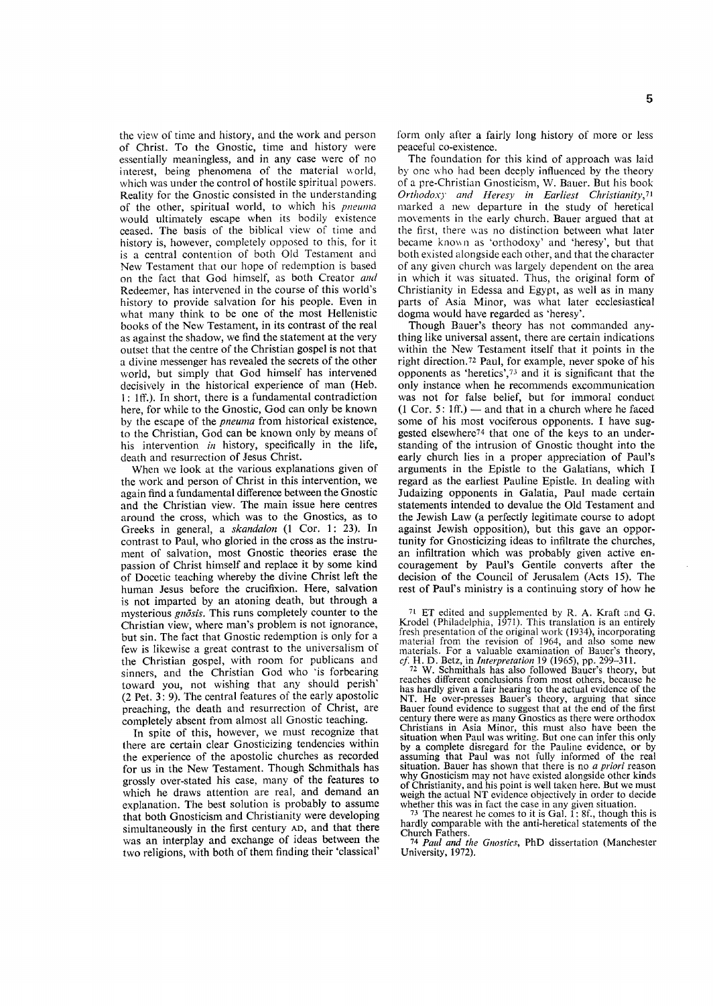the view of time and history, and the work and person of Christ. To the Gnostic, time and history were essentially meaningless, and in any case were of no interest, being phenomena of the material world, which was under the control of hostile spiritual powers. Reality for the Gnostic consisted in the understanding of the other, spiritual world, to which his *pneuma*  would ultimately escape when its bodily existence ceased. The basis of the biblical view of time and history is, however, completely opposed to this, for it is a central contention of both Old Testament and New Testament that our hope of redemption is based on the fact that God himself, as both Creator *and*  Redeemer, has intervened in the course of this world's history to provide salvation for his people. Even in what many think to be one of the most Hellenistic books of the New Testament, in its contrast of the real as against the shadow, we find the statement at the very outset that the centre of the Christian gospel is not that a divine messenger has revealed the secrets of the other world, but simply that God himself has intervened decisively in the historical experience of man (Heb. 1: lff.). In short, there is a fundamental contradiction here, for while to the Gnostic, God can only be known by the escape of the *pneuma* from historical existence, to the Christian, God can be known only by means of his intervention *in* history, specifically in the life, death and resurrection of Jesus Christ.

When we look at the various explanations given of the work and person of Christ in this intervention, we again find a fundamental difference between the Gnostic and the Christian view. The main issue here centres around the cross, which was to the Gnostics, as to Greeks in general, a *skandalon* (1 Cor. 1: 23). **In**  contrast to Paul, who gloried in the cross as the instrument of salvation, most Gnostic theories erase the passion of Christ himself and replace it by some kind of Docetic teaching whereby the divine Christ left the human Jesus before the crucifixion. Here, salvation is not imparted by an atoning death, but through a mysterious *gnosis.* This runs completely counter to the Christian view, where man's problem is not ignorance, but sin. The fact that Gnostic redemption is only for a few is likewise a great contrast to the universalism of the Christian gospel, with room for publicans and sinners, and the Christian God who 'is forbearing toward you, not wishing that any should perish' (2 Pet. 3: 9). The central features of the early apostolic preaching, the death and resurrection of Christ, are completely absent from almost all Gnostic teaching.

In spite of this, however, we must recognize that there are certain clear Gnosticizing tendencies within the experience of the apostolic churches as recorded for us in the New Testament. Though Schmithals has grossly over-stated his case, many of the features to which he draws attention are real, and demand an explanation. The best solution is probably to assume that both Gnosticism and Christianity were developing simultaneously in the first century AD, and that there was an interplay and exchange of ideas between the two religions, with both of them finding their 'classical'

form only after a fairly long history of more or less peaceful co-existence.

The foundation for this kind of approach was laid by onc who had been deeply influenced by the theory of a pre-Christian Gnosticism, W. Bauer. But his book *Orthodox), and Heresy in Earliest Christianity,* <sup>71</sup> marked a new departure in the study of heretical movements in the early church. Bauer argued that at the first, there was no distinction between what later became known as 'orthodoxy' and 'heresy', but that both existed alongside each other, and that the character of any given church was largely dependent on the area in which it was situated. Thus, the original form of Christianity in Edessa and Egypt, as well as in many parts of Asia Minor, was what later ecclesiastical dogma would have regarded as 'heresy'.

Though Bauer's theory has not commanded anything like universal assent, there are certain indications within the New Testament itself that it points in the right direction. 72 Paul, for example, never spoke of his opponents as 'heretics',73 and it is significant that the only instance when he recommends excommunication was not for false belief, but for immoral conduct  $(1$  Cor. 5: 1ff.) — and that in a church where he faced some of his most vociferous opponents. I have suggested elsewhere74 that one of the keys to an understanding of the intrusion of Gnostic thought into the early church lies in a proper appreciation of Paul's arguments in the Epistle to the Galatians, which I regard as the earliest Pauline Epistle. In dealing with Judaizing opponents in Galatia, Paul made certain statements intended to devalue the Old Testament and the Jewish Law (a perfectly legitimate course to adopt against Jewish opposition), but this gave an opportunity for Gnosticizing ideas to infiltrate the churches, an infiltration which was probably given active encouragement by Paul's Gentile converts after the decision of the Council of Jerusalem (Acts 15). The rest of Paul's ministry is a continuing story of how he

<sup>71</sup> ET edited and supplemented by R. A. Kraft and G. Krodel (Philadelphia, 1971). This translation is an entirely fresh presentation of the original work (1934), incorporating material from the revision of 1964, and also some new materials. For a valuable examination of Bauer's theory,  $cf.$  H. D. Betz, in *Interpretation* 19 (1965), pp. 299–311.<br><sup>72</sup> W. Schmithals has also followed Bauer's theo

 $12$  W. Schmithals has also followed Bauer's theory, but reaches different conclusions from most others, because he has hardly given a fair hearing to the actual evidence of the NT. He over-presses Bauer's theory, arguing that since Bauer found evidence to suggest that at the end of the first century there were as many Gnostics as there were orthodox Christians in Asia Minor, this must also have been the situation when Paul was writing. But one can infer this only by a complete disregard for the Pauline evidence, or by assuming that Paul was not fully informed of the real situation. Bauer has shown that there is no *a priori* reason why Gnosticism may not have existed alongside other kinds of Christianity, and his point is wdl taken here. But we must weigh the actual NT evidence objectively in order to decide whether this was in fact the case in any given situation.

73 The nearest he comes to it is Gal.  $\overline{1}$ : 8f., though this is hardly comparable with the anti-heretical statements of the

Church Fathers. 74 *Paul and the Gllostics,* PhD dissertation (Manchester University, 1972).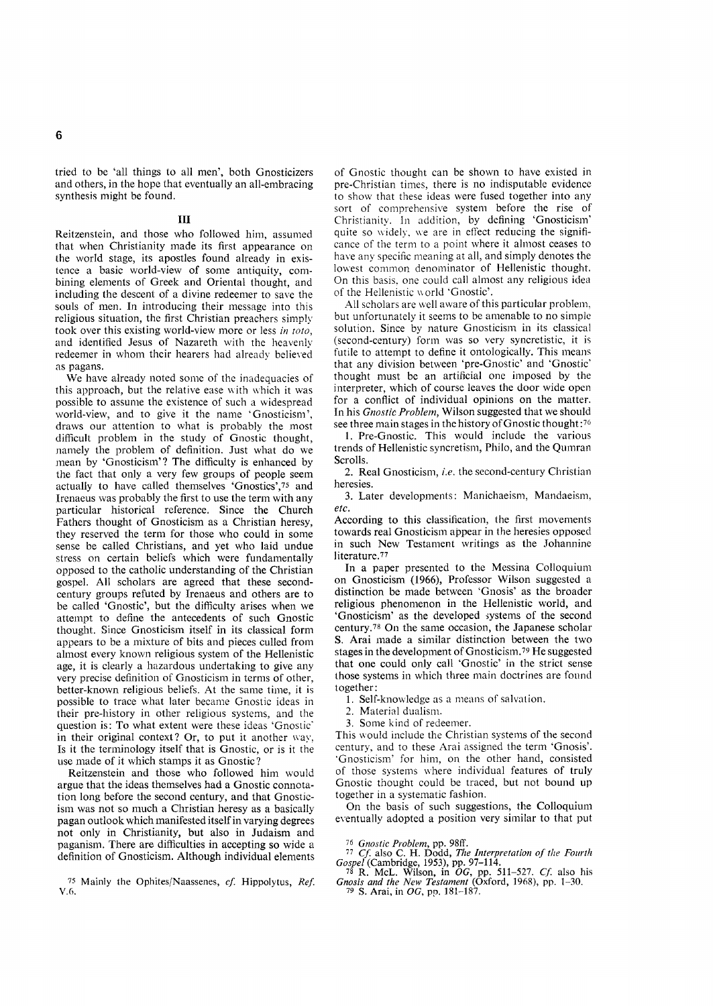tried to be 'all things to all men', both Gnosticizers and others, in the hope that eventually an all-embracing synthesis might be found.

## III

Reitzenstein, and those who followed him, assumed that when Christianity made its first appearance on the world stage, its apostles found already in existence a basic world-view of some antiquity, combining elements of Greek and Oriental thought, and including the descent of a divine redeemer to save the souls of men. **In** introducing their message into this religious situation, the first Christian preachers simply took over this existing world-view more or less *in toto,*  and identified Jesus of Nazareth with the heavenlv redeemer in whom their hearers had already believed as pagans.

We have already noted some of the inadequacies of this approach, but the relative ease with which it was possible to assume the existence of such a widespread world-view, and to give it the name 'Gnosticism', draws our attention to what is probably the most difficult problem in the study of Gnostic thought, namely the problem of definition. Just what do we mean by 'Gnosticism'? The difficulty is enhanced by the fact that only a very few groups of people seem actually to have called themselves 'Gnostics', 75 and Irenaeus was probably the first to use the term with any particular historical reference. Since the Church Fathers thought of Gnosticism as a Christian heresy, they reserved the term for those who could in some sense be called Christians, and yet who laid undue stress on certain beliefs which were fundamentally opposed to the catholic understanding of the Christian gospel. All scholars are agreed that these secondcentury groups refuted by Irenaeus and others are to be called 'Gnostic', but the difficulty arises when we attempt to define the antecedents of such Gnostic thought. Since Gnosticism itself in its classical form appears to be a mixture of bits and pieces culled from almost every known religious system of the Hellenistic age, it is clearly a hazardous undertaking to give any very precise definition of Gnosticism in terms of other, better-known religious beliefs. At the same time, it is possible to trace what later became Gnostic ideas in their pre-history in other religious systems, and the question is: To what extent were these ideas 'Gnostic' in their original context? Or, to put it another way, Is it the terminology itself that is Gnostic, or is it the use made of it which stamps it as Gnostic?

Reitzenstein and those who followed him would argue that the ideas themselves had a Gnostic connotation long before the second century, and that Gnosticism was not so much a Christian heresy as a basically pagan outlook which manifested itself in varying degrees not only in Christianity, but also in Judaism and paganism. There are difficulties in accepting so wide a definition of Gnosticism. Although individual elements

<sup>75</sup> Mainly the Ophites/Naassenes, *cf.* Hippolytus, *Ref.* V.6.

of Gnostic thought can be shown to have existed in pre-Christian times, there is no indisputable evidence to show that these ideas were fused together into any sort of comprehensive system before the rise of Christianity. In addition, by defining 'Gnosticism' quite so widely. we are in effect reducing the significance of the term to a point where it almost ceases to have any specific meaning at all, and simply denotes the lowest common denominator of Hellenistic thought. On this basis. one could call almost any religious idea of the Hellenistic world 'Gnostic'.

All scholars are well aware of this particular problem, but unfortunately it seems to be amenable to no simple solution. Since by nature Gnosticism in its classical (second-century) form was so very syncretistic, it is futile to attempt to define it ontologically. This means that any division between 'pre-Gnostic' and 'Gnostic' thought must be an artificial one imposed by the interpreter, which of course leaves the door wide open for a conflict of individual opinions on the matter. In his *Gnostic Problem,* Wilson suggested that we should see three main stages in the history of Gnostic thought: 76

I. Pre-Gnostic. This would include the various trends of Hellenistic syncretism, Philo, and the Qumran Scrolls.

2. Real Gnosticism, *i.e.* the second-century Christian heresies.

3. Later developments: Manichaeism, Mandaeism, *etc.* 

According to this classification, the first movements towards real Gnosticism appear in the heresies opposed in such New Testament writings as the Johannine literature. 77

In a paper presented to the Messina Colloquium on Gnosticism (1966), Professor Wilson suggested a distinction be made between 'Gnosis' as the broader religious phenomenon in the Hellenistic world, and 'Gnosticism' as the developed ,ystems of the second century.78 On the same occasion, the Japanese scholar S. Arai made a similar distinction between the two stages in the development of Gnosticism. 79 He suggested that one could only call 'Gnostic' in the strict sense those systems in which three main doctrines are found together:

I. Self-knowledge as a means of salvation.

2. Material dualism.

3. Some kind of redeemer.

This would include the Christian systems of the second century, and to these Arai assigned the term 'Gnosis'. 'Gnosticism' for him, on the other hand, consisted of those systems where individual features of truly Gnostic thought could be traced, but not bound up together in a systematic fashion.

On the basis of such suggestions, the Colloquium eyentually adopted a position very similar to that put

<sup>77</sup>*Cl* also C. H. Dodd, *The Interpretation of the Fourth* 

*Gospel* (Cambridge, 1953), pp. 97-114.<br>
<sup>78</sup> R. McL. Wilson, in OG, pp. 511-527. Cf. also his Gnosis and the New Testament (Oxford, 1968), pp. 1-30. 79 S. Arai, in OG, pp. 181-187.

*<sup>76</sup> Gnostic Problem,* pp. 98ff.